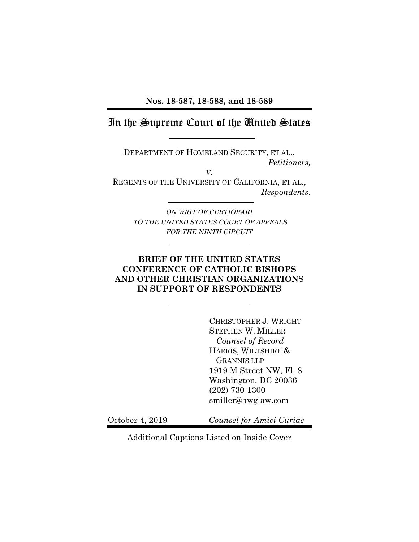**Nos. 18-587, 18-588, and 18-589**

# In the Supreme Court of the United States

DEPARTMENT OF HOMELAND SECURITY, ET AL.,  *Petitioners,*

*V.* REGENTS OF THE UNIVERSITY OF CALIFORNIA, ET AL., *Respondents*.

> *ON WRIT OF CERTIORARI TO THE UNITED STATES COURT OF APPEALS FOR THE NINTH CIRCUIT*

### **BRIEF OF THE UNITED STATES CONFERENCE OF CATHOLIC BISHOPS AND OTHER CHRISTIAN ORGANIZATIONS IN SUPPORT OF RESPONDENTS**

CHRISTOPHER J. WRIGHT STEPHEN W. MILLER *Counsel of Record* HARRIS, WILTSHIRE & GRANNIS LLP 1919 M Street NW, Fl. 8 Washington, DC 20036 (202) 730-1300 smiller@hwglaw.com

October 4, 2019 *Counsel for Amici Curiae* 

Additional Captions Listed on Inside Cover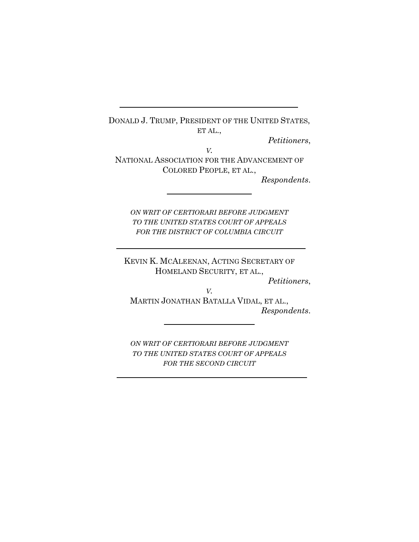DONALD J. TRUMP, PRESIDENT OF THE UNITED STATES, ET AL.,

*Petitioners*,

*V.* NATIONAL ASSOCIATION FOR THE ADVANCEMENT OF COLORED PEOPLE, ET AL.,

*Respondents*.

*ON WRIT OF CERTIORARI BEFORE JUDGMENT TO THE UNITED STATES COURT OF APPEALS FOR THE DISTRICT OF COLUMBIA CIRCUIT*

KEVIN K. MCALEENAN, ACTING SECRETARY OF HOMELAND SECURITY, ET AL.,

*Petitioners*,

*V.* MARTIN JONATHAN BATALLA VIDAL, ET AL., *Respondents*.

*ON WRIT OF CERTIORARI BEFORE JUDGMENT TO THE UNITED STATES COURT OF APPEALS FOR THE SECOND CIRCUIT*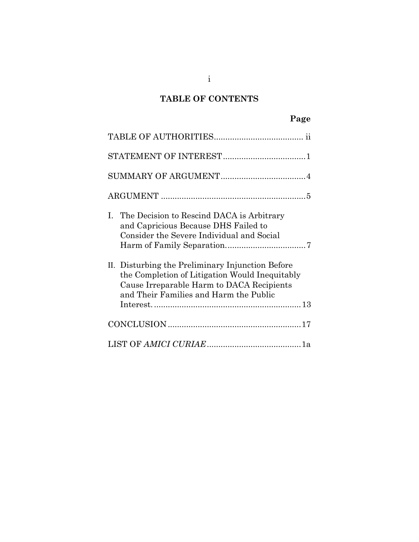# **TABLE OF CONTENTS**

| The Decision to Rescind DACA is Arbitrary<br>$\mathbf{L}$<br>and Capricious Because DHS Failed to<br>Consider the Severe Individual and Social                                            |
|-------------------------------------------------------------------------------------------------------------------------------------------------------------------------------------------|
| II. Disturbing the Preliminary Injunction Before<br>the Completion of Litigation Would Inequitably<br>Cause Irreparable Harm to DACA Recipients<br>and Their Families and Harm the Public |
|                                                                                                                                                                                           |
|                                                                                                                                                                                           |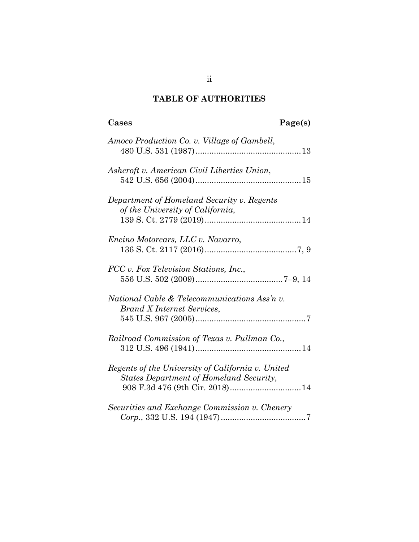# **TABLE OF AUTHORITIES**

| Cases                                                                                        | Page(s) |
|----------------------------------------------------------------------------------------------|---------|
| Amoco Production Co. v. Village of Gambell,                                                  |         |
| Ashcroft v. American Civil Liberties Union,                                                  |         |
| Department of Homeland Security v. Regents<br>of the University of California,               |         |
| Encino Motorcars, LLC v. Navarro,                                                            |         |
| FCC v. Fox Television Stations, Inc.,                                                        |         |
| National Cable & Telecommunications Ass'n v.<br><b>Brand X Internet Services,</b>            |         |
| Railroad Commission of Texas v. Pullman Co.,                                                 |         |
| Regents of the University of California v. United<br>States Department of Homeland Security, |         |
| Securities and Exchange Commission v. Chenery                                                |         |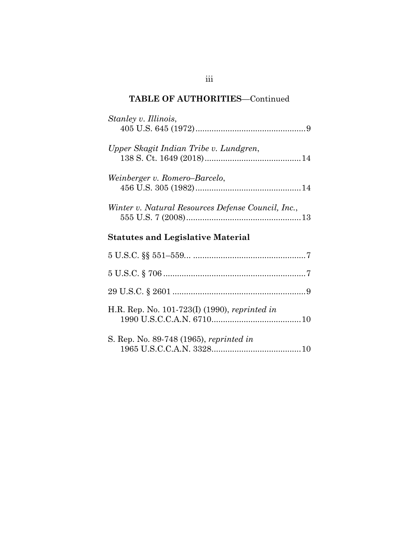| Stanley v. Illinois,                               |
|----------------------------------------------------|
| Upper Skagit Indian Tribe v. Lundgren,             |
| Weinberger v. Romero–Barcelo,                      |
| Winter v. Natural Resources Defense Council, Inc., |
| <b>Statutes and Legislative Material</b>           |
|                                                    |
|                                                    |
|                                                    |
| H.R. Rep. No. 101-723(I) (1990), reprinted in      |
| S. Rep. No. 89-748 (1965), reprinted in            |

## iii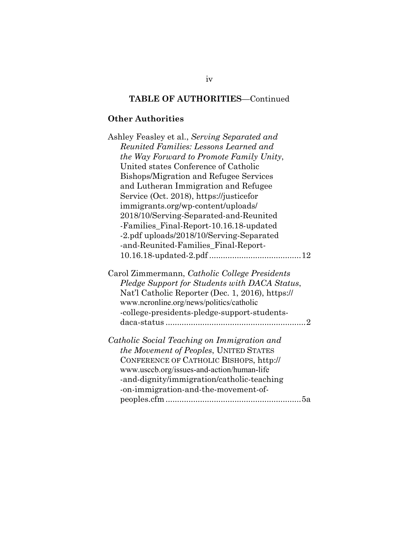## **Other Authorities**

| Ashley Feasley et al., Serving Separated and                                                                                                                                                                                                   |
|------------------------------------------------------------------------------------------------------------------------------------------------------------------------------------------------------------------------------------------------|
| Reunited Families: Lessons Learned and                                                                                                                                                                                                         |
| the Way Forward to Promote Family Unity,                                                                                                                                                                                                       |
| United states Conference of Catholic                                                                                                                                                                                                           |
| Bishops/Migration and Refugee Services                                                                                                                                                                                                         |
| and Lutheran Immigration and Refugee                                                                                                                                                                                                           |
| Service (Oct. 2018), https://justicefor                                                                                                                                                                                                        |
| immigrants.org/wp-content/uploads/                                                                                                                                                                                                             |
| 2018/10/Serving-Separated-and-Reunited                                                                                                                                                                                                         |
| -Families_Final-Report-10.16.18-updated                                                                                                                                                                                                        |
| -2.pdf uploads/2018/10/Serving-Separated                                                                                                                                                                                                       |
| -and-Reunited-Families_Final-Report-                                                                                                                                                                                                           |
|                                                                                                                                                                                                                                                |
| Carol Zimmermann, Catholic College Presidents<br>Pledge Support for Students with DACA Status,<br>Nat'l Catholic Reporter (Dec. 1, 2016), https://<br>www.ncronline.org/news/politics/catholic<br>-college-presidents-pledge-support-students- |
| Catholic Social Teaching on Immigration and                                                                                                                                                                                                    |
| the Movement of Peoples, UNITED STATES                                                                                                                                                                                                         |
| CONFERENCE OF CATHOLIC BISHOPS, http://                                                                                                                                                                                                        |
| www.usccb.org/issues-and-action/human-life                                                                                                                                                                                                     |
| -and-dignity/immigration/catholic-teaching                                                                                                                                                                                                     |
| -on-immigration-and-the-movement-of-                                                                                                                                                                                                           |
|                                                                                                                                                                                                                                                |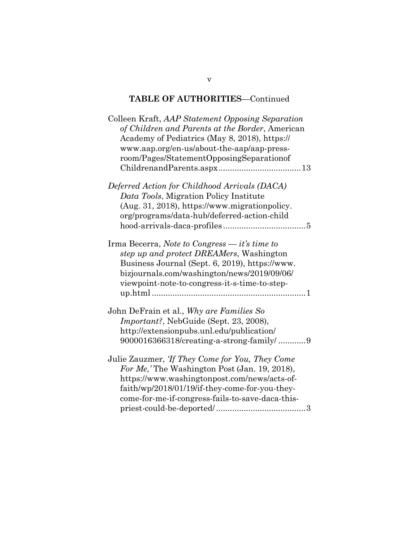| Colleen Kraft, AAP Statement Opposing Separation<br>of Children and Parents at the Border, American<br>Academy of Pediatrics (May 8, 2018), https://<br>www.aap.org/en-us/about-the-aap/aap-press-                                                                  |
|---------------------------------------------------------------------------------------------------------------------------------------------------------------------------------------------------------------------------------------------------------------------|
| room/Pages/StatementOpposingSeparationof                                                                                                                                                                                                                            |
| Deferred Action for Childhood Arrivals (DACA)                                                                                                                                                                                                                       |
| Data Tools, Migration Policy Institute                                                                                                                                                                                                                              |
| (Aug. 31, 2018), https://www.migrationpolicy.                                                                                                                                                                                                                       |
| org/programs/data-hub/deferred-action-child                                                                                                                                                                                                                         |
|                                                                                                                                                                                                                                                                     |
| Irma Becerra, Note to Congress $-$ it's time to<br>step up and protect DREAMers, Washington<br>Business Journal (Sept. 6, 2019), https://www.<br>bizjournals.com/washington/news/2019/09/06/<br>viewpoint-note-to-congress-it-s-time-to-step-                       |
| John DeFrain et al., Why are Families So                                                                                                                                                                                                                            |
| <i>Important?</i> , NebGuide (Sept. 23, 2008),                                                                                                                                                                                                                      |
| http://extensionpubs.unl.edu/publication/                                                                                                                                                                                                                           |
| 9000016366318/creating-a-strong-family/9                                                                                                                                                                                                                            |
| Julie Zauzmer, <i>Tf They Come for You</i> , <i>They Come</i><br>For Me, The Washington Post (Jan. 19, 2018),<br>https://www.washingtonpost.com/news/acts-of-<br>faith/wp/2018/01/19/if-they-come-for-you-they-<br>come-for-me-if-congress-fails-to-save-daca-this- |
|                                                                                                                                                                                                                                                                     |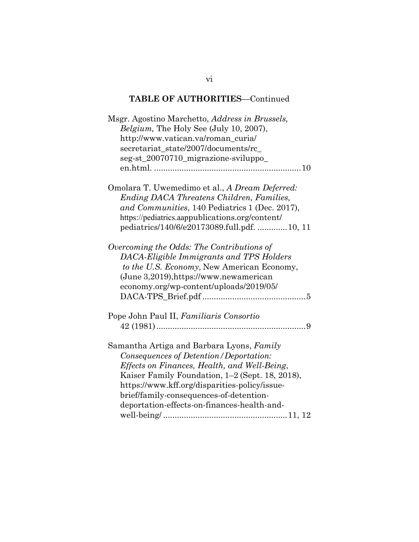| Msgr. Agostino Marchetto, Address in Brussels,<br>Belgium, The Holy See (July 10, 2007),<br>http://www.vatican.va/roman_curia/<br>secretariat_state/2007/documents/rc_<br>seg-st_20070710_migrazione-sviluppo_                                                                                                                    |
|-----------------------------------------------------------------------------------------------------------------------------------------------------------------------------------------------------------------------------------------------------------------------------------------------------------------------------------|
|                                                                                                                                                                                                                                                                                                                                   |
| Omolara T. Uwemedimo et al., A Dream Deferred:<br>Ending DACA Threatens Children, Families,<br>and Communities, 140 Pediatrics 1 (Dec. 2017),<br>https://pediatrics.aappublications.org/content/<br>pediatrics/140/6/e20173089.full.pdf.  10, 11                                                                                  |
| Overcoming the Odds: The Contributions of<br>DACA-Eligible Immigrants and TPS Holders<br>to the U.S. Economy, New American Economy,<br>(June 3,2019), https://www.newamerican<br>economy.org/wp-content/uploads/2019/05/                                                                                                          |
| Pope John Paul II, Familiaris Consortio                                                                                                                                                                                                                                                                                           |
| Samantha Artiga and Barbara Lyons, Family<br>Consequences of Detention/Deportation:<br>Effects on Finances, Health, and Well-Being,<br>Kaiser Family Foundation, 1–2 (Sept. 18, 2018),<br>https://www.kff.org/disparities-policy/issue-<br>brief/family-consequences-of-detention-<br>deportation-effects-on-finances-health-and- |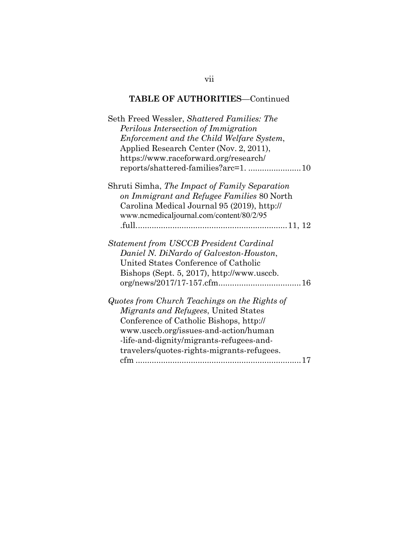vii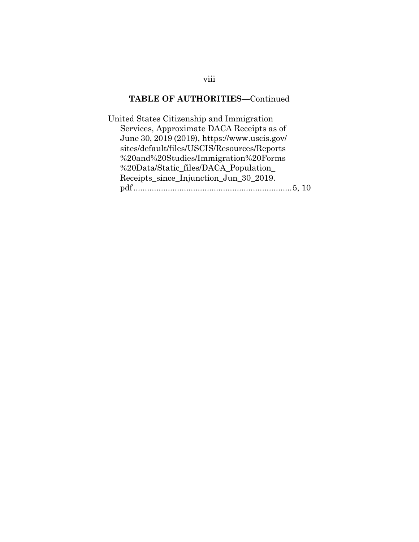United States Citizenship and Immigration Services, Approximate DACA Receipts as of June 30, 2019 (2019), https://www.uscis.gov/ sites/default/files/USCIS/Resources/Reports %20and%20Studies/Immigration%20Forms %20Data/Static\_files/DACA\_Population\_ Receipts\_since\_Injunction\_Jun\_30\_2019. pdf ..................................................................... 5, 10

viii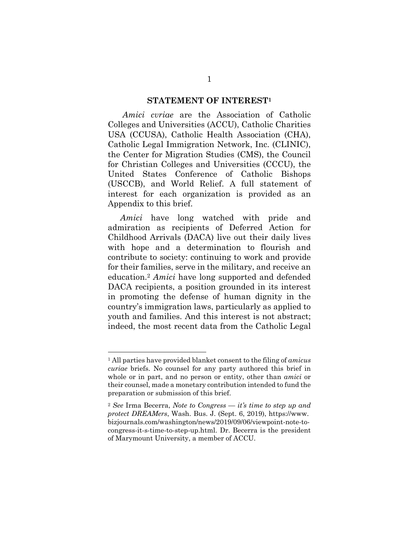### **STATEMENT OF INTEREST1**

 *Amici cvriae* are the Association of Catholic Colleges and Universities (ACCU), Catholic Charities USA (CCUSA), Catholic Health Association (CHA), Catholic Legal Immigration Network, Inc. (CLINIC), the Center for Migration Studies (CMS), the Council for Christian Colleges and Universities (CCCU), the United States Conference of Catholic Bishops (USCCB), and World Relief. A full statement of interest for each organization is provided as an Appendix to this brief.

*Amici* have long watched with pride and admiration as recipients of Deferred Action for Childhood Arrivals (DACA) live out their daily lives with hope and a determination to flourish and contribute to society: continuing to work and provide for their families, serve in the military, and receive an education.2 *Amici* have long supported and defended DACA recipients, a position grounded in its interest in promoting the defense of human dignity in the country's immigration laws, particularly as applied to youth and families. And this interest is not abstract; indeed, the most recent data from the Catholic Legal

<sup>1</sup> All parties have provided blanket consent to the filing of *amicus curiae* briefs. No counsel for any party authored this brief in whole or in part, and no person or entity, other than *amici* or their counsel, made a monetary contribution intended to fund the preparation or submission of this brief.

<sup>2</sup> *See* Irma Becerra, *Note to Congress — it's time to step up and protect DREAMers*, Wash. Bus. J. (Sept. 6, 2019), https://www. bizjournals.com/washington/news/2019/09/06/viewpoint-note-tocongress-it-s-time-to-step-up.html. Dr. Becerra is the president of Marymount University, a member of ACCU.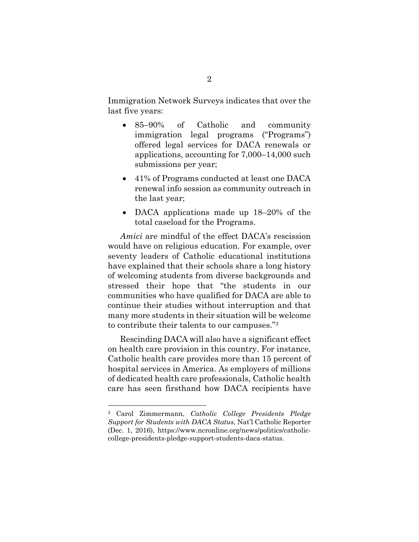Immigration Network Surveys indicates that over the last five years:

- 85–90% of Catholic and community immigration legal programs ("Programs") offered legal services for DACA renewals or applications, accounting for 7,000–14,000 such submissions per year;
- 41% of Programs conducted at least one DACA renewal info session as community outreach in the last year;
- DACA applications made up 18–20% of the total caseload for the Programs.

*Amici* are mindful of the effect DACA's rescission would have on religious education. For example, over seventy leaders of Catholic educational institutions have explained that their schools share a long history of welcoming students from diverse backgrounds and stressed their hope that "the students in our communities who have qualified for DACA are able to continue their studies without interruption and that many more students in their situation will be welcome to contribute their talents to our campuses."3

 Rescinding DACA will also have a significant effect on health care provision in this country. For instance, Catholic health care provides more than 15 percent of hospital services in America. As employers of millions of dedicated health care professionals, Catholic health care has seen firsthand how DACA recipients have

<sup>3</sup> Carol Zimmermann, *Catholic College Presidents Pledge Support for Students with DACA Status*, Nat'l Catholic Reporter (Dec. 1, 2016), https://www.ncronline.org/news/politics/catholiccollege-presidents-pledge-support-students-daca-status.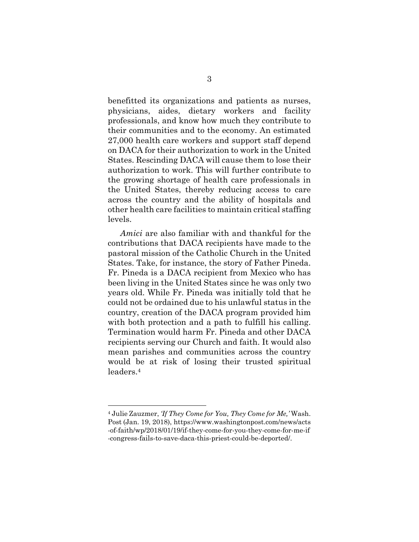benefitted its organizations and patients as nurses, physicians, aides, dietary workers and facility professionals, and know how much they contribute to their communities and to the economy. An estimated 27,000 health care workers and support staff depend on DACA for their authorization to work in the United States. Rescinding DACA will cause them to lose their authorization to work. This will further contribute to the growing shortage of health care professionals in the United States, thereby reducing access to care across the country and the ability of hospitals and other health care facilities to maintain critical staffing levels.

*Amici* are also familiar with and thankful for the contributions that DACA recipients have made to the pastoral mission of the Catholic Church in the United States. Take, for instance, the story of Father Pineda. Fr. Pineda is a DACA recipient from Mexico who has been living in the United States since he was only two years old. While Fr. Pineda was initially told that he could not be ordained due to his unlawful status in the country, creation of the DACA program provided him with both protection and a path to fulfill his calling. Termination would harm Fr. Pineda and other DACA recipients serving our Church and faith. It would also mean parishes and communities across the country would be at risk of losing their trusted spiritual leaders.4

<sup>4</sup> Julie Zauzmer, *'If They Come for You, They Come for Me,'* Wash. Post (Jan. 19, 2018), https://www.washingtonpost.com/news/acts -of-faith/wp/2018/01/19/if-they-come-for-you-they-come-for-me-if -congress-fails-to-save-daca-this-priest-could-be-deported/.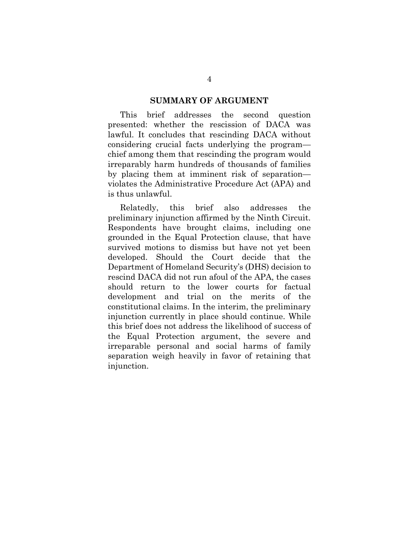### **SUMMARY OF ARGUMENT**

This brief addresses the second question presented: whether the rescission of DACA was lawful. It concludes that rescinding DACA without considering crucial facts underlying the program chief among them that rescinding the program would irreparably harm hundreds of thousands of families by placing them at imminent risk of separation violates the Administrative Procedure Act (APA) and is thus unlawful.

 Relatedly, this brief also addresses the preliminary injunction affirmed by the Ninth Circuit. Respondents have brought claims, including one grounded in the Equal Protection clause, that have survived motions to dismiss but have not yet been developed. Should the Court decide that the Department of Homeland Security's (DHS) decision to rescind DACA did not run afoul of the APA, the cases should return to the lower courts for factual development and trial on the merits of the constitutional claims. In the interim, the preliminary injunction currently in place should continue. While this brief does not address the likelihood of success of the Equal Protection argument, the severe and irreparable personal and social harms of family separation weigh heavily in favor of retaining that injunction.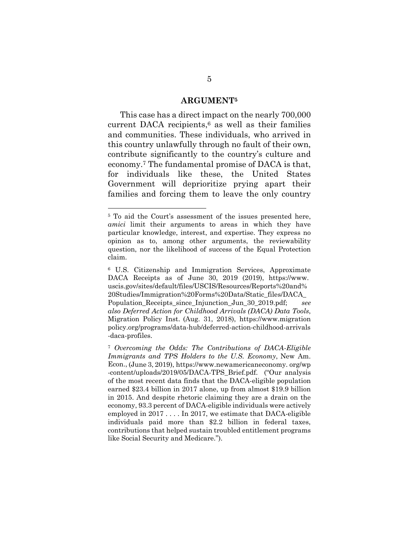### **ARGUMENT5**

 This case has a direct impact on the nearly 700,000 current DACA recipients, $6$  as well as their families and communities. These individuals, who arrived in this country unlawfully through no fault of their own, contribute significantly to the country's culture and economy.7 The fundamental promise of DACA is that, for individuals like these, the United States Government will deprioritize prying apart their families and forcing them to leave the only country

<sup>5</sup> To aid the Court's assessment of the issues presented here, *amici* limit their arguments to areas in which they have particular knowledge, interest, and expertise. They express no opinion as to, among other arguments, the reviewability question, nor the likelihood of success of the Equal Protection claim.

<sup>6</sup> U.S. Citizenship and Immigration Services, Approximate DACA Receipts as of June 30, 2019 (2019), https://www. uscis.gov/sites/default/files/USCIS/Resources/Reports%20and% 20Studies/Immigration%20Forms%20Data/Static\_files/DACA\_ Population\_Receipts\_since\_Injunction\_Jun\_30\_2019.pdf; *see also Deferred Action for Childhood Arrivals (DACA) Data Tools*, Migration Policy Inst. (Aug. 31, 2018), https://www.migration policy.org/programs/data-hub/deferred-action-childhood-arrivals -daca-profiles.

<sup>7</sup> *Overcoming the Odds: The Contributions of DACA-Eligible Immigrants and TPS Holders to the U.S. Economy*, New Am. Econ., (June 3, 2019), https://www.newamericaneconomy. org/wp -content/uploads/2019/05/DACA-TPS\_Brief.pdf. ("Our analysis of the most recent data finds that the DACA-eligible population earned \$23.4 billion in 2017 alone, up from almost \$19.9 billion in 2015. And despite rhetoric claiming they are a drain on the economy, 93.3 percent of DACA-eligible individuals were actively employed in 2017 . . . . In 2017, we estimate that DACA-eligible individuals paid more than \$2.2 billion in federal taxes, contributions that helped sustain troubled entitlement programs like Social Security and Medicare.").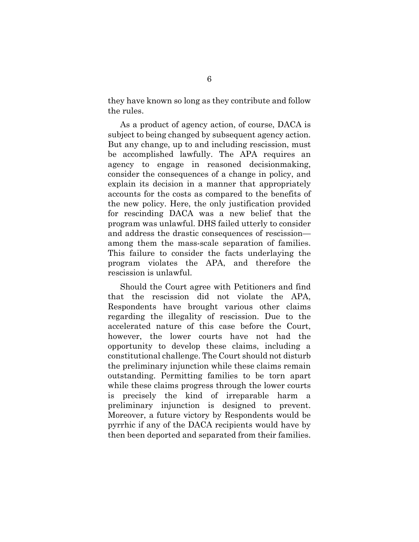they have known so long as they contribute and follow the rules.

 As a product of agency action, of course, DACA is subject to being changed by subsequent agency action. But any change, up to and including rescission, must be accomplished lawfully. The APA requires an agency to engage in reasoned decisionmaking, consider the consequences of a change in policy, and explain its decision in a manner that appropriately accounts for the costs as compared to the benefits of the new policy. Here, the only justification provided for rescinding DACA was a new belief that the program was unlawful. DHS failed utterly to consider and address the drastic consequences of rescission among them the mass-scale separation of families. This failure to consider the facts underlaying the program violates the APA, and therefore the rescission is unlawful.

 Should the Court agree with Petitioners and find that the rescission did not violate the APA, Respondents have brought various other claims regarding the illegality of rescission. Due to the accelerated nature of this case before the Court, however, the lower courts have not had the opportunity to develop these claims, including a constitutional challenge. The Court should not disturb the preliminary injunction while these claims remain outstanding. Permitting families to be torn apart while these claims progress through the lower courts is precisely the kind of irreparable harm a preliminary injunction is designed to prevent. Moreover, a future victory by Respondents would be pyrrhic if any of the DACA recipients would have by then been deported and separated from their families.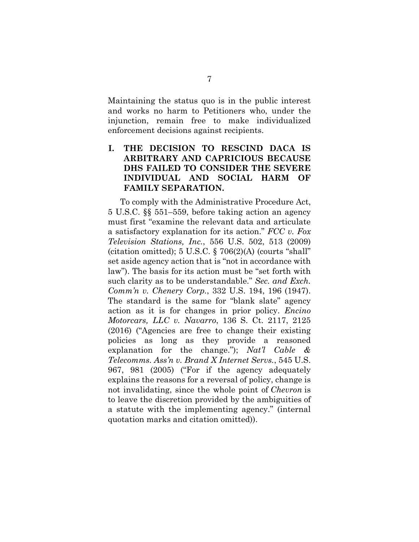Maintaining the status quo is in the public interest and works no harm to Petitioners who, under the injunction, remain free to make individualized enforcement decisions against recipients.

## **I. THE DECISION TO RESCIND DACA IS ARBITRARY AND CAPRICIOUS BECAUSE DHS FAILED TO CONSIDER THE SEVERE INDIVIDUAL AND SOCIAL HARM OF FAMILY SEPARATION.**

 To comply with the Administrative Procedure Act, 5 U.S.C. §§ 551–559, before taking action an agency must first "examine the relevant data and articulate a satisfactory explanation for its action." *FCC v. Fox Television Stations, Inc.*, 556 U.S. 502, 513 (2009) (citation omitted);  $5 \text{ U.S.C.}$   $\S$   $706(2)(\text{A})$  (courts "shall" set aside agency action that is "not in accordance with law"). The basis for its action must be "set forth with such clarity as to be understandable." *Sec. and Exch. Comm'n v. Chenery Corp.*, 332 U.S. 194, 196 (1947). The standard is the same for "blank slate" agency action as it is for changes in prior policy. *Encino Motorcars, LLC v. Navarro*, 136 S. Ct. 2117, 2125 (2016) ("Agencies are free to change their existing policies as long as they provide a reasoned explanation for the change."); *Nat'l Cable & Telecomms. Ass'n v. Brand X Internet Servs.*, 545 U.S. 967, 981 (2005) ("For if the agency adequately explains the reasons for a reversal of policy, change is not invalidating, since the whole point of *Chevron* is to leave the discretion provided by the ambiguities of a statute with the implementing agency." (internal quotation marks and citation omitted)).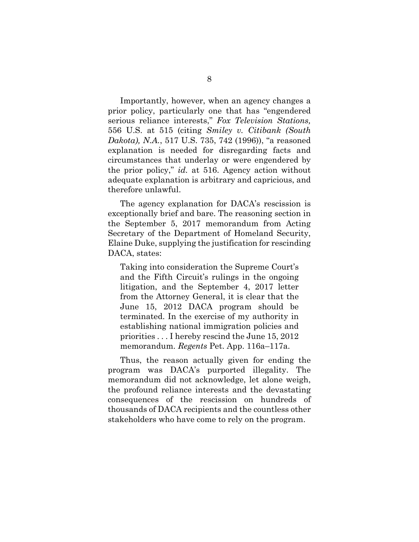Importantly, however, when an agency changes a prior policy, particularly one that has "engendered serious reliance interests," *Fox Television Stations,*  556 U.S. at 515 (citing *Smiley v. Citibank (South Dakota), N.A.*, 517 U.S. 735, 742 (1996)), "a reasoned explanation is needed for disregarding facts and circumstances that underlay or were engendered by the prior policy," *id.* at 516. Agency action without adequate explanation is arbitrary and capricious, and therefore unlawful.

 The agency explanation for DACA's rescission is exceptionally brief and bare. The reasoning section in the September 5, 2017 memorandum from Acting Secretary of the Department of Homeland Security, Elaine Duke, supplying the justification for rescinding DACA, states:

Taking into consideration the Supreme Court's and the Fifth Circuit's rulings in the ongoing litigation, and the September 4, 2017 letter from the Attorney General, it is clear that the June 15, 2012 DACA program should be terminated. In the exercise of my authority in establishing national immigration policies and priorities . . . I hereby rescind the June 15, 2012 memorandum. *Regents* Pet. App. 116a–117a.

 Thus, the reason actually given for ending the program was DACA's purported illegality. The memorandum did not acknowledge, let alone weigh, the profound reliance interests and the devastating consequences of the rescission on hundreds of thousands of DACA recipients and the countless other stakeholders who have come to rely on the program.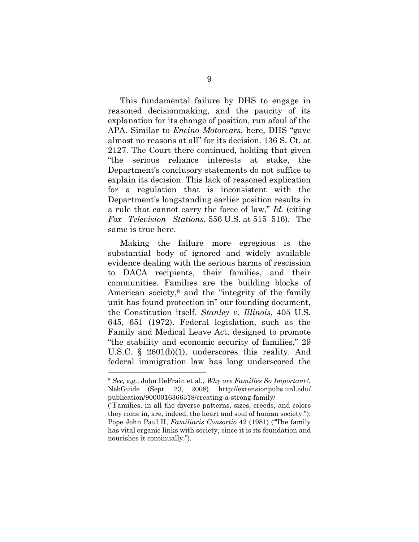This fundamental failure by DHS to engage in reasoned decisionmaking, and the paucity of its explanation for its change of position, run afoul of the APA. Similar to *Encino Motorcars*, here, DHS "gave almost no reasons at all" for its decision. 136 S. Ct. at 2127. The Court there continued, holding that given "the serious reliance interests at stake, the Department's conclusory statements do not suffice to explain its decision. This lack of reasoned explication for a regulation that is inconsistent with the Department's longstanding earlier position results in a rule that cannot carry the force of law." *Id.* (citing *Fox Television Stations*, 556 U.S. at 515–516). The same is true here.

 Making the failure more egregious is the substantial body of ignored and widely available evidence dealing with the serious harms of rescission to DACA recipients, their families, and their communities. Families are the building blocks of American society,8 and the "integrity of the family unit has found protection in" our founding document, the Constitution itself. *Stanley v*. *Illinois*, 405 U.S. 645, 651 (1972). Federal legislation, such as the Family and Medical Leave Act, designed to promote "the stability and economic security of families," 29 U.S.C. § 2601(b)(1), underscores this reality. And federal immigration law has long underscored the

<sup>8</sup> *See, e.g.*, John DeFrain et al., *Why are Families So Important?*, NebGuide (Sept. 23, 2008), http://extensionpubs.unl.edu/ publication/9000016366318/creating-a-strong-family/

<sup>(&</sup>quot;Families, in all the diverse patterns, sizes, creeds, and colors they come in, are, indeed, the heart and soul of human society."); Pope John Paul II, *Familiaris Consortio* 42 (1981) ("The family has vital organic links with society, since it is its foundation and nourishes it continually.").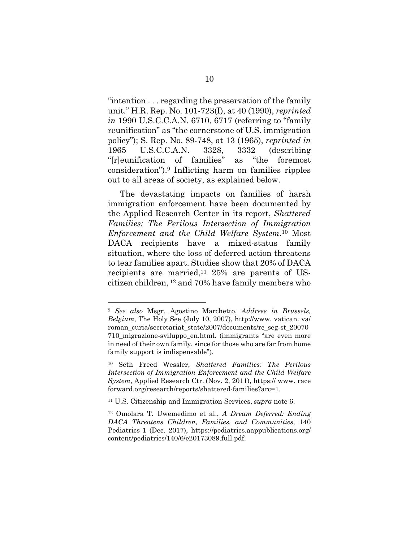"intention . . . regarding the preservation of the family unit." H.R. Rep. No. 101-723(I), at 40 (1990), *reprinted in* 1990 U.S.C.C.A.N. 6710, 6717 (referring to "family reunification" as "the cornerstone of U.S. immigration policy"); S. Rep. No. 89-748, at 13 (1965), *reprinted in*  1965 U.S.C.C.A.N. 3328, 3332 (describing "[r]eunification of families" as "the foremost consideration").9 Inflicting harm on families ripples out to all areas of society, as explained below.

 The devastating impacts on families of harsh immigration enforcement have been documented by the Applied Research Center in its report, *Shattered Families: The Perilous Intersection of Immigration Enforcement and the Child Welfare System*.10 Most DACA recipients have a mixed-status family situation, where the loss of deferred action threatens to tear families apart. Studies show that 20% of DACA recipients are married,<sup>11</sup> 25% are parents of UScitizen children, 12 and 70% have family members who

<sup>9</sup> *See also* Msgr. Agostino Marchetto, *Address in Brussels, Belgium,* The Holy See (July 10, 2007), http://www. vatican. va/ roman\_curia/secretariat\_state/2007/documents/rc\_seg-st\_20070 710\_migrazione-sviluppo\_en.html. (immigrants "are even more in need of their own family, since for those who are far from home family support is indispensable").

<sup>10</sup> Seth Freed Wessler, *Shattered Families: The Perilous Intersection of Immigration Enforcement and the Child Welfare System*, Applied Research Ctr. (Nov. 2, 2011), https:// www. race forward.org/research/reports/shattered-families?arc=1.

<sup>11</sup> U.S. Citizenship and Immigration Services, *supra* note 6.

<sup>12</sup> Omolara T. Uwemedimo et al., *A Dream Deferred: Ending DACA Threatens Children, Families, and Communities,* 140 Pediatrics 1 (Dec. 2017), https://pediatrics.aappublications.org/ content/pediatrics/140/6/e20173089.full.pdf.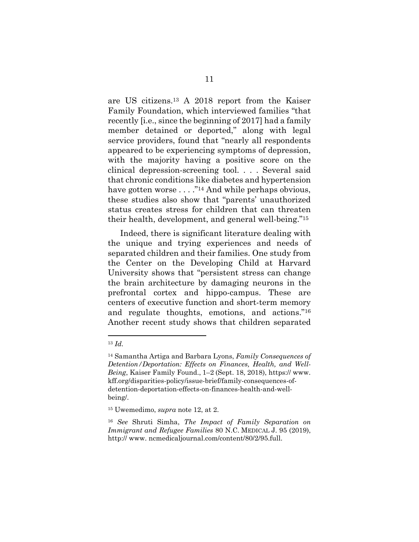are US citizens.13 A 2018 report from the Kaiser Family Foundation, which interviewed families "that recently [i.e., since the beginning of 2017] had a family member detained or deported," along with legal service providers, found that "nearly all respondents appeared to be experiencing symptoms of depression, with the majority having a positive score on the clinical depression-screening tool. . . . Several said that chronic conditions like diabetes and hypertension have gotten worse . . . . "<sup>14</sup> And while perhaps obvious, these studies also show that "parents' unauthorized status creates stress for children that can threaten their health, development, and general well-being."15

 Indeed, there is significant literature dealing with the unique and trying experiences and needs of separated children and their families. One study from the Center on the Developing Child at Harvard University shows that "persistent stress can change the brain architecture by damaging neurons in the prefrontal cortex and hippo-campus. These are centers of executive function and short-term memory and regulate thoughts, emotions, and actions."16 Another recent study shows that children separated

<sup>13</sup> *Id.* 

<sup>14</sup> Samantha Artiga and Barbara Lyons, *Family Consequences of Detention/Deportation: Effects on Finances, Health, and Well-Being*, Kaiser Family Found., 1–2 (Sept. 18, 2018), https:// www. kff.org/disparities-policy/issue-brief/family-consequences-ofdetention-deportation-effects-on-finances-health-and-wellbeing/.

<sup>15</sup> Uwemedimo, *supra* note 12, at 2.

<sup>16</sup> *See* Shruti Simha, *The Impact of Family Separation on Immigrant and Refugee Families* 80 N.C. MEDICAL J. 95 (2019), http:// www. ncmedicaljournal.com/content/80/2/95.full.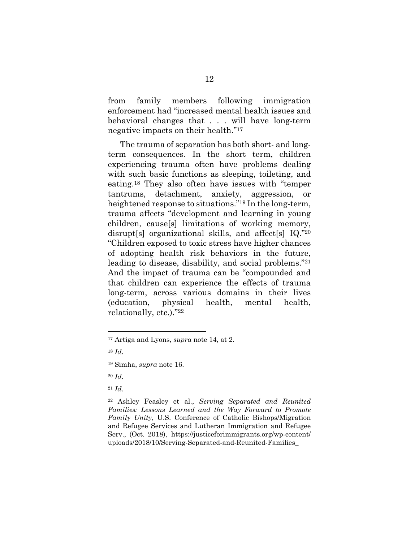from family members following immigration enforcement had "increased mental health issues and behavioral changes that . . . will have long-term negative impacts on their health."17

 The trauma of separation has both short- and longterm consequences. In the short term, children experiencing trauma often have problems dealing with such basic functions as sleeping, toileting, and eating.18 They also often have issues with "temper tantrums, detachment, anxiety, aggression, or heightened response to situations."19 In the long-term, trauma affects "development and learning in young children, cause[s] limitations of working memory, disrupt[s] organizational skills, and affect[s] IQ."20 "Children exposed to toxic stress have higher chances of adopting health risk behaviors in the future, leading to disease, disability, and social problems."21 And the impact of trauma can be "compounded and that children can experience the effects of trauma long-term, across various domains in their lives (education, physical health, mental health, relationally, etc.)."22

 $\overline{a}$ 

<sup>20</sup> *Id.* 

<sup>21</sup> *Id*.

22 Ashley Feasley et al., *Serving Separated and Reunited Families: Lessons Learned and the Way Forward to Promote Family Unity*, U.S. Conference of Catholic Bishops/Migration and Refugee Services and Lutheran Immigration and Refugee Serv., (Oct. 2018), https://justiceforimmigrants.org/wp-content/ uploads/2018/10/Serving-Separated-and-Reunited-Families\_

<sup>17</sup> Artiga and Lyons, *supra* note 14, at 2.

<sup>18</sup> *Id.* 

<sup>19</sup> Simha, *supra* note 16.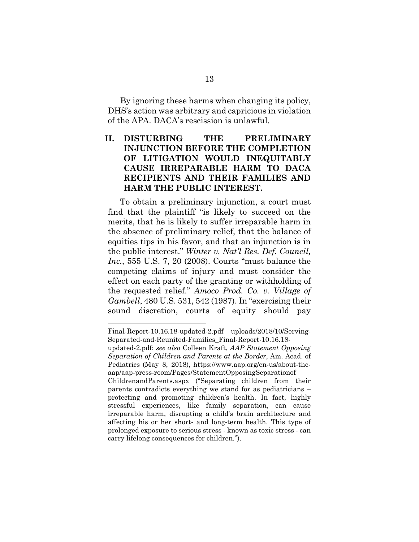By ignoring these harms when changing its policy, DHS's action was arbitrary and capricious in violation of the APA. DACA's rescission is unlawful.

### **II. DISTURBING THE PRELIMINARY INJUNCTION BEFORE THE COMPLETION OF LITIGATION WOULD INEQUITABLY CAUSE IRREPARABLE HARM TO DACA RECIPIENTS AND THEIR FAMILIES AND HARM THE PUBLIC INTEREST.**

 To obtain a preliminary injunction, a court must find that the plaintiff "is likely to succeed on the merits, that he is likely to suffer irreparable harm in the absence of preliminary relief, that the balance of equities tips in his favor, and that an injunction is in the public interest." *Winter v. Nat'l Res. Def. Council, Inc.*, 555 U.S. 7, 20 (2008). Courts "must balance the competing claims of injury and must consider the effect on each party of the granting or withholding of the requested relief." *Amoco Prod. Co. v. Village of Gambell*, 480 U.S. 531, 542 (1987). In "exercising their sound discretion, courts of equity should pay

Final-Report-10.16.18-updated-2.pdf uploads/2018/10/Serving-Separated-and-Reunited-Families\_Final-Report-10.16.18-

updated-2.pdf; *see also* Colleen Kraft, *AAP Statement Opposing Separation of Children and Parents at the Border*, Am. Acad. of Pediatrics (May 8, 2018), https://www.aap.org/en-us/about-theaap/aap-press-room/Pages/StatementOpposingSeparationof

ChildrenandParents.aspx ("Separating children from their parents contradicts everything we stand for as pediatricians – protecting and promoting children's health. In fact, highly stressful experiences, like family separation, can cause irreparable harm, disrupting a child's brain architecture and affecting his or her short- and long-term health. This type of prolonged exposure to serious stress - known as toxic stress - can carry lifelong consequences for children.").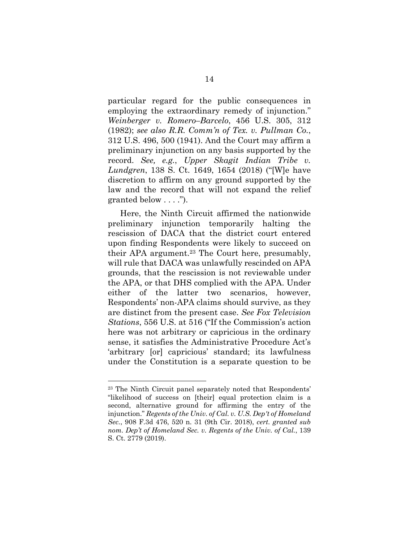particular regard for the public consequences in employing the extraordinary remedy of injunction." *Weinberger v. Romero–Barcelo*, 456 U.S. 305, 312 (1982); *see also R.R. Comm'n of Tex. v. Pullman Co.*, 312 U.S. 496, 500 (1941). And the Court may affirm a preliminary injunction on any basis supported by the record. *See, e.g.*, *Upper Skagit Indian Tribe v. Lundgren*, 138 S. Ct. 1649, 1654 (2018) ("[W]e have discretion to affirm on any ground supported by the law and the record that will not expand the relief granted below . . . .").

 Here, the Ninth Circuit affirmed the nationwide preliminary injunction temporarily halting the rescission of DACA that the district court entered upon finding Respondents were likely to succeed on their APA argument.23 The Court here, presumably, will rule that DACA was unlawfully rescinded on APA grounds, that the rescission is not reviewable under the APA, or that DHS complied with the APA. Under either of the latter two scenarios, however, Respondents' non-APA claims should survive, as they are distinct from the present case. *See Fox Television Stations*, 556 U.S. at 516 ("If the Commission's action here was not arbitrary or capricious in the ordinary sense, it satisfies the Administrative Procedure Act's 'arbitrary [or] capricious' standard; its lawfulness under the Constitution is a separate question to be

<sup>23</sup> The Ninth Circuit panel separately noted that Respondents' "likelihood of success on [their] equal protection claim is a second, alternative ground for affirming the entry of the injunction." *Regents of the Univ. of Cal. v. U.S. Dep't of Homeland Sec.*, 908 F.3d 476, 520 n. 31 (9th Cir. 2018), *cert. granted sub nom. Dep't of Homeland Sec. v. Regents of the Univ. of Cal.*, 139 S. Ct. 2779 (2019).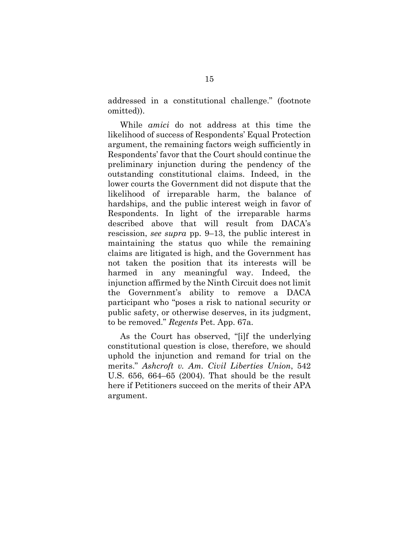addressed in a constitutional challenge." (footnote omitted)).

 While *amici* do not address at this time the likelihood of success of Respondents' Equal Protection argument, the remaining factors weigh sufficiently in Respondents' favor that the Court should continue the preliminary injunction during the pendency of the outstanding constitutional claims. Indeed, in the lower courts the Government did not dispute that the likelihood of irreparable harm, the balance of hardships, and the public interest weigh in favor of Respondents. In light of the irreparable harms described above that will result from DACA's rescission, *see supra* pp. 9–13, the public interest in maintaining the status quo while the remaining claims are litigated is high, and the Government has not taken the position that its interests will be harmed in any meaningful way. Indeed, the injunction affirmed by the Ninth Circuit does not limit the Government's ability to remove a DACA participant who "poses a risk to national security or public safety, or otherwise deserves, in its judgment, to be removed." *Regents* Pet. App. 67a.

 As the Court has observed, "[i]f the underlying constitutional question is close, therefore, we should uphold the injunction and remand for trial on the merits." *Ashcroft v. Am. Civil Liberties Union*, 542 U.S. 656, 664–65 (2004). That should be the result here if Petitioners succeed on the merits of their APA argument.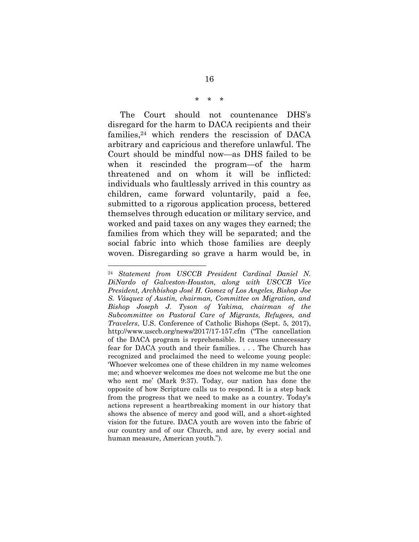#### \* \* \*

 The Court should not countenance DHS's disregard for the harm to DACA recipients and their families,24 which renders the rescission of DACA arbitrary and capricious and therefore unlawful. The Court should be mindful now—as DHS failed to be when it rescinded the program—of the harm threatened and on whom it will be inflicted: individuals who faultlessly arrived in this country as children, came forward voluntarily, paid a fee, submitted to a rigorous application process, bettered themselves through education or military service, and worked and paid taxes on any wages they earned; the families from which they will be separated; and the social fabric into which those families are deeply woven. Disregarding so grave a harm would be, in

<sup>24</sup> *Statement from USCCB President Cardinal Daniel N. DiNardo of Galveston-Houston, along with USCCB Vice President, Archbishop José H. Gomez of Los Angeles, Bishop Joe S. Vásquez of Austin, chairman, Committee on Migration, and Bishop Joseph J. Tyson of Yakima, chairman of the Subcommittee on Pastoral Care of Migrants, Refugees, and Travelers*, U.S. Conference of Catholic Bishops (Sept. 5, 2017), http://www.usccb.org/news/2017/17-157.cfm ("The cancellation of the DACA program is reprehensible. It causes unnecessary fear for DACA youth and their families. . . . The Church has recognized and proclaimed the need to welcome young people: 'Whoever welcomes one of these children in my name welcomes me; and whoever welcomes me does not welcome me but the one who sent me' (Mark 9:37). Today, our nation has done the opposite of how Scripture calls us to respond. It is a step back from the progress that we need to make as a country. Today's actions represent a heartbreaking moment in our history that shows the absence of mercy and good will, and a short-sighted vision for the future. DACA youth are woven into the fabric of our country and of our Church, and are, by every social and human measure, American youth.").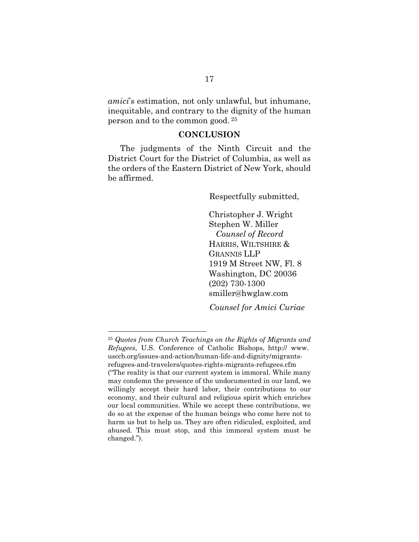*amici*'s estimation, not only unlawful, but inhumane, inequitable, and contrary to the dignity of the human person and to the common good. 25

### **CONCLUSION**

The judgments of the Ninth Circuit and the District Court for the District of Columbia, as well as the orders of the Eastern District of New York, should be affirmed.

Respectfully submitted,

 Christopher J. Wright Stephen W. Miller *Counsel of Record*  HARRIS, WILTSHIRE & GRANNIS LLP 1919 M Street NW, Fl. 8 Washington, DC 20036 (202) 730-1300 smiller@hwglaw.com

*Counsel for Amici Curiae* 

<sup>25</sup> *Quotes from Church Teachings on the Rights of Migrants and Refugees*, U.S. Conference of Catholic Bishops, http:// www. usccb.org/issues-and-action/human-life-and-dignity/migrantsrefugees-and-travelers/quotes-rights-migrants-refugees.cfm ("The reality is that our current system is immoral. While many may condemn the presence of the undocumented in our land, we willingly accept their hard labor, their contributions to our economy, and their cultural and religious spirit which enriches our local communities. While we accept these contributions, we do so at the expense of the human beings who come here not to harm us but to help us. They are often ridiculed, exploited, and abused. This must stop, and this immoral system must be changed.").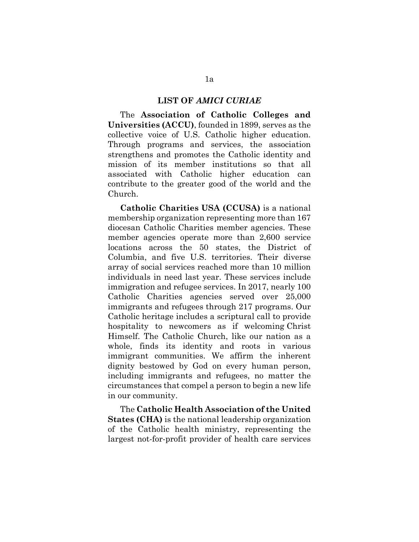#### **LIST OF** *AMICI CURIAE*

 The **Association of Catholic Colleges and Universities (ACCU)**, founded in 1899, serves as the collective voice of U.S. Catholic higher education. Through programs and services, the association strengthens and promotes the Catholic identity and mission of its member institutions so that all associated with Catholic higher education can contribute to the greater good of the world and the Church.

**Catholic Charities USA (CCUSA)** is a national membership organization representing more than 167 diocesan Catholic Charities member agencies. These member agencies operate more than 2,600 service locations across the 50 states, the District of Columbia, and five U.S. territories. Their diverse array of social services reached more than 10 million individuals in need last year. These services include immigration and refugee services. In 2017, nearly 100 Catholic Charities agencies served over 25,000 immigrants and refugees through 217 programs. Our Catholic heritage includes a scriptural call to provide hospitality to newcomers as if welcoming Christ Himself. The Catholic Church, like our nation as a whole, finds its identity and roots in various immigrant communities. We affirm the inherent dignity bestowed by God on every human person, including immigrants and refugees, no matter the circumstances that compel a person to begin a new life in our community.

 The **Catholic Health Association of the United States (CHA)** is the national leadership organization of the Catholic health ministry, representing the largest not-for-profit provider of health care services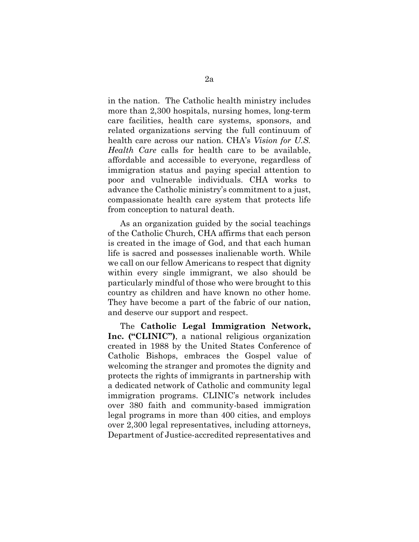in the nation. The Catholic health ministry includes more than 2,300 hospitals, nursing homes, long-term care facilities, health care systems, sponsors, and related organizations serving the full continuum of health care across our nation. CHA's *Vision for U.S. Health Care* calls for health care to be available, affordable and accessible to everyone, regardless of immigration status and paying special attention to poor and vulnerable individuals. CHA works to advance the Catholic ministry's commitment to a just, compassionate health care system that protects life from conception to natural death.

 As an organization guided by the social teachings of the Catholic Church, CHA affirms that each person is created in the image of God, and that each human life is sacred and possesses inalienable worth. While we call on our fellow Americans to respect that dignity within every single immigrant, we also should be particularly mindful of those who were brought to this country as children and have known no other home. They have become a part of the fabric of our nation, and deserve our support and respect.

 The **Catholic Legal Immigration Network, Inc. ("CLINIC")**, a national religious organization created in 1988 by the United States Conference of Catholic Bishops, embraces the Gospel value of welcoming the stranger and promotes the dignity and protects the rights of immigrants in partnership with a dedicated network of Catholic and community legal immigration programs. CLINIC's network includes over 380 faith and community-based immigration legal programs in more than 400 cities, and employs over 2,300 legal representatives, including attorneys, Department of Justice-accredited representatives and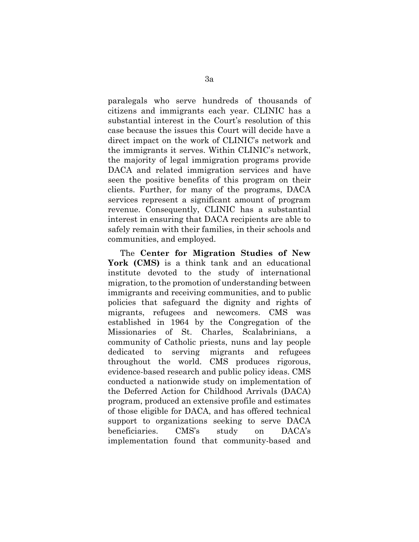paralegals who serve hundreds of thousands of citizens and immigrants each year. CLINIC has a substantial interest in the Court's resolution of this case because the issues this Court will decide have a direct impact on the work of CLINIC's network and the immigrants it serves. Within CLINIC's network, the majority of legal immigration programs provide DACA and related immigration services and have seen the positive benefits of this program on their clients. Further, for many of the programs, DACA services represent a significant amount of program revenue. Consequently, CLINIC has a substantial interest in ensuring that DACA recipients are able to safely remain with their families, in their schools and communities, and employed.

 The **Center for Migration Studies of New York (CMS)** is a think tank and an educational institute devoted to the study of international migration, to the promotion of understanding between immigrants and receiving communities, and to public policies that safeguard the dignity and rights of migrants, refugees and newcomers. CMS was established in 1964 by the Congregation of the Missionaries of St. Charles, Scalabrinians, a community of Catholic priests, nuns and lay people dedicated to serving migrants and refugees throughout the world. CMS produces rigorous, evidence-based research and public policy ideas. CMS conducted a nationwide study on implementation of the Deferred Action for Childhood Arrivals (DACA) program, produced an extensive profile and estimates of those eligible for DACA, and has offered technical support to organizations seeking to serve DACA beneficiaries. CMS's study on DACA's implementation found that community-based and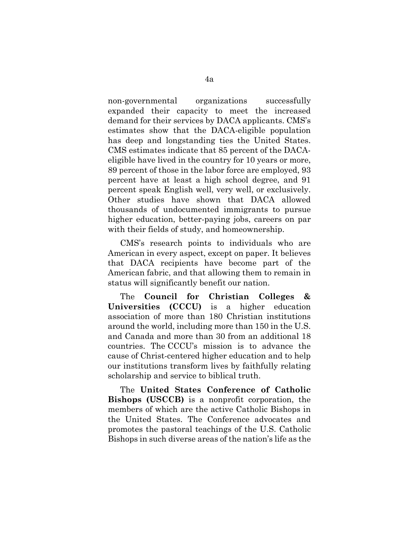non-governmental organizations successfully expanded their capacity to meet the increased demand for their services by DACA applicants. CMS's estimates show that the DACA-eligible population has deep and longstanding ties the United States. CMS estimates indicate that 85 percent of the DACAeligible have lived in the country for 10 years or more, 89 percent of those in the labor force are employed, 93 percent have at least a high school degree, and 91 percent speak English well, very well, or exclusively. Other studies have shown that DACA allowed thousands of undocumented immigrants to pursue higher education, better-paying jobs, careers on par with their fields of study, and homeownership.

 CMS's research points to individuals who are American in every aspect, except on paper. It believes that DACA recipients have become part of the American fabric, and that allowing them to remain in status will significantly benefit our nation.

 The **Council for Christian Colleges & Universities (CCCU)** is a higher education association of more than 180 Christian institutions around the world, including more than 150 in the U.S. and Canada and more than 30 from an additional 18 countries. The CCCU's mission is to advance the cause of Christ-centered higher education and to help our institutions transform lives by faithfully relating scholarship and service to biblical truth.

 The **United States Conference of Catholic Bishops (USCCB)** is a nonprofit corporation, the members of which are the active Catholic Bishops in the United States. The Conference advocates and promotes the pastoral teachings of the U.S. Catholic Bishops in such diverse areas of the nation's life as the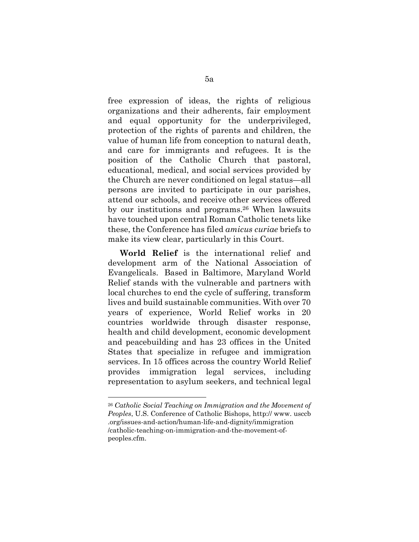free expression of ideas, the rights of religious organizations and their adherents, fair employment and equal opportunity for the underprivileged, protection of the rights of parents and children, the value of human life from conception to natural death, and care for immigrants and refugees. It is the position of the Catholic Church that pastoral, educational, medical, and social services provided by the Church are never conditioned on legal status—all persons are invited to participate in our parishes, attend our schools, and receive other services offered by our institutions and programs.26 When lawsuits have touched upon central Roman Catholic tenets like these, the Conference has filed *amicus curiae* briefs to make its view clear, particularly in this Court.

**World Relief** is the international relief and development arm of the National Association of Evangelicals. Based in Baltimore, Maryland World Relief stands with the vulnerable and partners with local churches to end the cycle of suffering, transform lives and build sustainable communities. With over 70 years of experience, World Relief works in 20 countries worldwide through disaster response, health and child development, economic development and peacebuilding and has 23 offices in the United States that specialize in refugee and immigration services. In 15 offices across the country World Relief provides immigration legal services, including representation to asylum seekers, and technical legal

<sup>26</sup> *Catholic Social Teaching on Immigration and the Movement of Peoples*, U.S. Conference of Catholic Bishops, http:// www. usccb .org/issues-and-action/human-life-and-dignity/immigration /catholic-teaching-on-immigration-and-the-movement-ofpeoples.cfm.